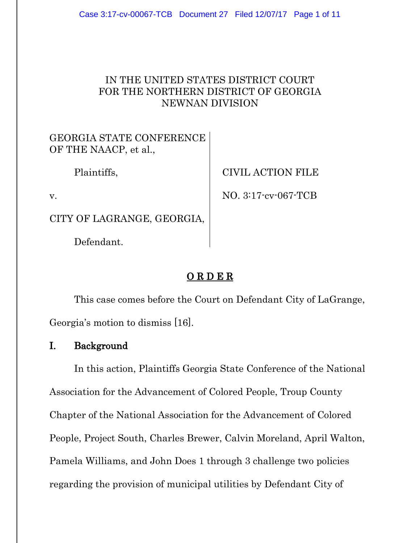### IN THE UNITED STATES DISTRICT COURT FOR THE NORTHERN DISTRICT OF GEORGIA NEWNAN DIVISION

GEORGIA STATE CONFERENCE OF THE NAACP, et al.,

Plaintiffs,

v.

CITY OF LAGRANGE, GEORGIA,

Defendant.

CIVIL ACTION FILE

NO. 3:17-cv-067-TCB

# O R D E R

This case comes before the Court on Defendant City of LaGrange, Georgia's motion to dismiss [16].

## I. Background

In this action, Plaintiffs Georgia State Conference of the National Association for the Advancement of Colored People, Troup County Chapter of the National Association for the Advancement of Colored People, Project South, Charles Brewer, Calvin Moreland, April Walton, Pamela Williams, and John Does 1 through 3 challenge two policies regarding the provision of municipal utilities by Defendant City of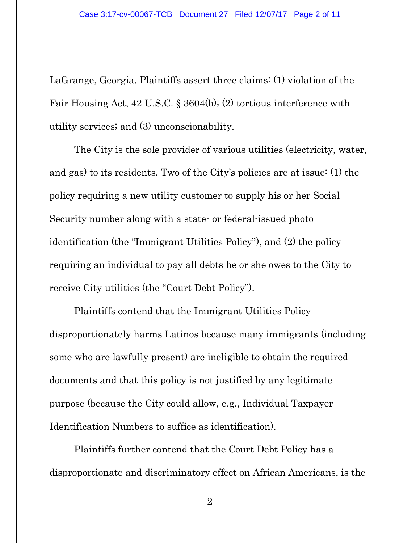LaGrange, Georgia. Plaintiffs assert three claims: (1) violation of the Fair Housing Act, 42 U.S.C. § 3604(b); (2) tortious interference with utility services; and (3) unconscionability.

The City is the sole provider of various utilities (electricity, water, and gas) to its residents. Two of the City's policies are at issue: (1) the policy requiring a new utility customer to supply his or her Social Security number along with a state- or federal-issued photo identification (the "Immigrant Utilities Policy"), and (2) the policy requiring an individual to pay all debts he or she owes to the City to receive City utilities (the "Court Debt Policy").

Plaintiffs contend that the Immigrant Utilities Policy disproportionately harms Latinos because many immigrants (including some who are lawfully present) are ineligible to obtain the required documents and that this policy is not justified by any legitimate purpose (because the City could allow, e.g., Individual Taxpayer Identification Numbers to suffice as identification).

Plaintiffs further contend that the Court Debt Policy has a disproportionate and discriminatory effect on African Americans, is the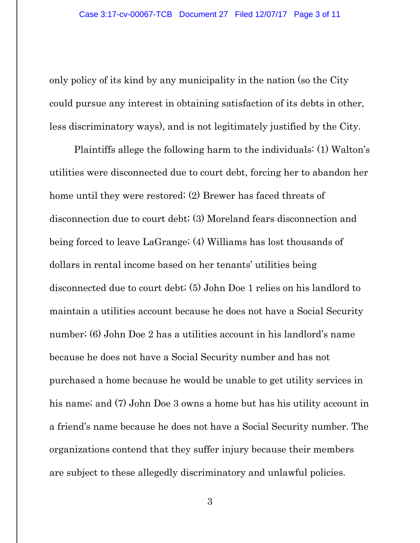only policy of its kind by any municipality in the nation (so the City could pursue any interest in obtaining satisfaction of its debts in other, less discriminatory ways), and is not legitimately justified by the City.

Plaintiffs allege the following harm to the individuals: (1) Walton's utilities were disconnected due to court debt, forcing her to abandon her home until they were restored; (2) Brewer has faced threats of disconnection due to court debt; (3) Moreland fears disconnection and being forced to leave LaGrange; (4) Williams has lost thousands of dollars in rental income based on her tenants' utilities being disconnected due to court debt; (5) John Doe 1 relies on his landlord to maintain a utilities account because he does not have a Social Security number; (6) John Doe 2 has a utilities account in his landlord's name because he does not have a Social Security number and has not purchased a home because he would be unable to get utility services in his name; and (7) John Doe 3 owns a home but has his utility account in a friend's name because he does not have a Social Security number. The organizations contend that they suffer injury because their members are subject to these allegedly discriminatory and unlawful policies.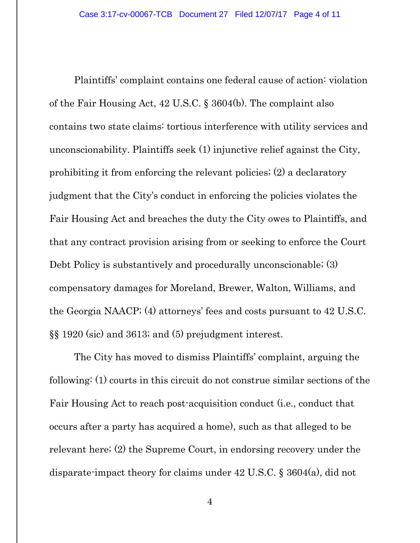Plaintiffs' complaint contains one federal cause of action: violation of the Fair Housing Act, 42 U.S.C. § 3604(b). The complaint also contains two state claims: tortious interference with utility services and unconscionability. Plaintiffs seek (1) injunctive relief against the City, prohibiting it from enforcing the relevant policies; (2) a declaratory judgment that the City's conduct in enforcing the policies violates the Fair Housing Act and breaches the duty the City owes to Plaintiffs, and that any contract provision arising from or seeking to enforce the Court Debt Policy is substantively and procedurally unconscionable; (3) compensatory damages for Moreland, Brewer, Walton, Williams, and the Georgia NAACP; (4) attorneys' fees and costs pursuant to 42 U.S.C. §§ 1920 (sic) and 3613; and (5) prejudgment interest.

The City has moved to dismiss Plaintiffs' complaint, arguing the following: (1) courts in this circuit do not construe similar sections of the Fair Housing Act to reach post-acquisition conduct (i.e., conduct that occurs after a party has acquired a home), such as that alleged to be relevant here; (2) the Supreme Court, in endorsing recovery under the disparate-impact theory for claims under 42 U.S.C. § 3604(a), did not

4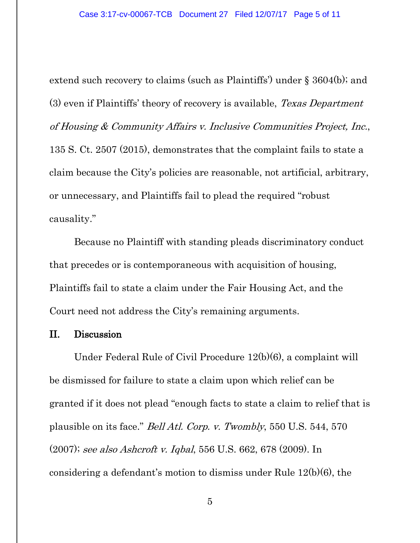extend such recovery to claims (such as Plaintiffs') under § 3604(b); and (3) even if Plaintiffs' theory of recovery is available, Texas Department of Housing & Community Affairs v. Inclusive Communities Project, Inc., 135 S. Ct. 2507 (2015), demonstrates that the complaint fails to state a claim because the City's policies are reasonable, not artificial, arbitrary, or unnecessary, and Plaintiffs fail to plead the required "robust causality."

Because no Plaintiff with standing pleads discriminatory conduct that precedes or is contemporaneous with acquisition of housing, Plaintiffs fail to state a claim under the Fair Housing Act, and the Court need not address the City's remaining arguments.

#### II. Discussion

Under Federal Rule of Civil Procedure 12(b)(6), a complaint will be dismissed for failure to state a claim upon which relief can be granted if it does not plead "enough facts to state a claim to relief that is plausible on its face." Bell Atl. Corp. v. Twombly, 550 U.S. 544, 570 (2007); see also Ashcroft v. Iqbal, 556 U.S. 662, 678 (2009). In considering a defendant's motion to dismiss under Rule 12(b)(6), the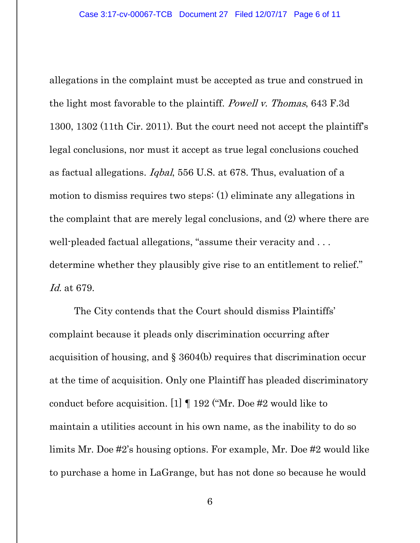allegations in the complaint must be accepted as true and construed in the light most favorable to the plaintiff. Powell v. Thomas, 643 F.3d 1300, 1302 (11th Cir. 2011). But the court need not accept the plaintiff's legal conclusions, nor must it accept as true legal conclusions couched as factual allegations. Iqbal, 556 U.S. at 678. Thus, evaluation of a motion to dismiss requires two steps: (1) eliminate any allegations in the complaint that are merely legal conclusions, and (2) where there are well-pleaded factual allegations, "assume their veracity and . . . determine whether they plausibly give rise to an entitlement to relief." Id. at 679.

The City contends that the Court should dismiss Plaintiffs' complaint because it pleads only discrimination occurring after acquisition of housing, and § 3604(b) requires that discrimination occur at the time of acquisition. Only one Plaintiff has pleaded discriminatory conduct before acquisition. [1] ¶ 192 ("Mr. Doe #2 would like to maintain a utilities account in his own name, as the inability to do so limits Mr. Doe #2's housing options. For example, Mr. Doe #2 would like to purchase a home in LaGrange, but has not done so because he would

6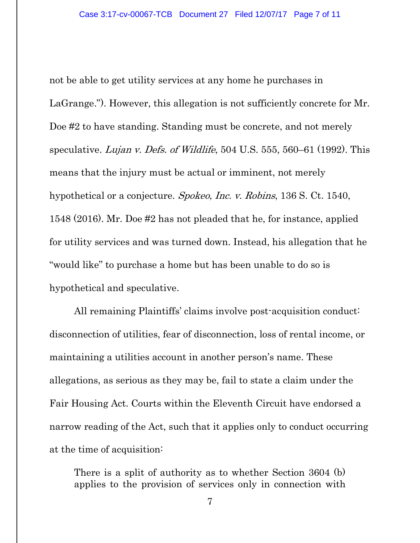not be able to get utility services at any home he purchases in LaGrange."). However, this allegation is not sufficiently concrete for Mr. Doe #2 to have standing. Standing must be concrete, and not merely speculative. Lujan v. Defs. of Wildlife, 504 U.S. 555, 560–61 (1992). This means that the injury must be actual or imminent, not merely hypothetical or a conjecture. Spokeo, Inc. v. Robins, 136 S. Ct. 1540, 1548 (2016). Mr. Doe #2 has not pleaded that he, for instance, applied for utility services and was turned down. Instead, his allegation that he "would like" to purchase a home but has been unable to do so is hypothetical and speculative.

All remaining Plaintiffs' claims involve post-acquisition conduct: disconnection of utilities, fear of disconnection, loss of rental income, or maintaining a utilities account in another person's name. These allegations, as serious as they may be, fail to state a claim under the Fair Housing Act. Courts within the Eleventh Circuit have endorsed a narrow reading of the Act, such that it applies only to conduct occurring at the time of acquisition:

There is a split of authority as to whether Section 3604 (b) applies to the provision of services only in connection with

7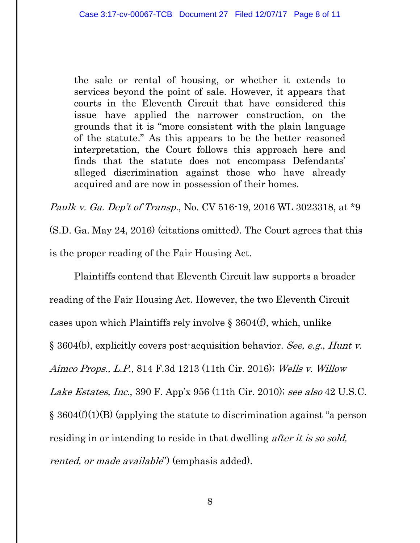the sale or rental of housing, or whether it extends to services beyond the point of sale. However, it appears that courts in the Eleventh Circuit that have considered this issue have applied the narrower construction, on the grounds that it is "more consistent with the plain language of the statute." As this appears to be the better reasoned interpretation, the Court follows this approach here and finds that the statute does not encompass Defendants' alleged discrimination against those who have already acquired and are now in possession of their homes.

Paulk v. Ga. Dep't of Transp., No. CV 516-19, 2016 WL 3023318, at \*9 (S.D. Ga. May 24, 2016) (citations omitted). The Court agrees that this is the proper reading of the Fair Housing Act.

Plaintiffs contend that Eleventh Circuit law supports a broader reading of the Fair Housing Act. However, the two Eleventh Circuit cases upon which Plaintiffs rely involve § 3604(f), which, unlike § 3604(b), explicitly covers post-acquisition behavior. See, e.g., Hunt v. Aimco Props., L.P., 814 F.3d 1213 (11th Cir. 2016); Wells v. Willow Lake Estates, Inc., 390 F. App'x 956 (11th Cir. 2010); see also 42 U.S.C. § 3604(f)(1)(B) (applying the statute to discrimination against "a person residing in or intending to reside in that dwelling *after it is so sold*, rented, or made available") (emphasis added).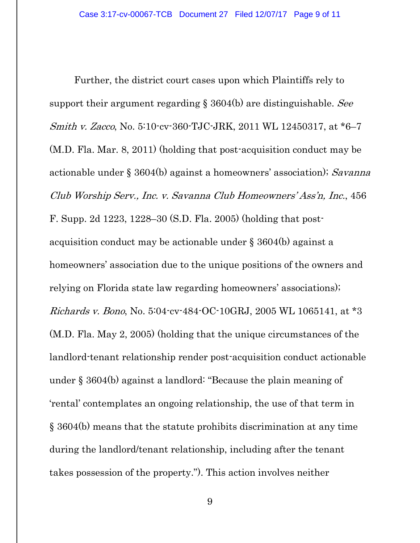Further, the district court cases upon which Plaintiffs rely to support their argument regarding § 3604(b) are distinguishable. See Smith v. Zacco, No. 5:10-cv-360-TJC-JRK, 2011 WL 12450317, at \*6–7 (M.D. Fla. Mar. 8, 2011) (holding that post-acquisition conduct may be actionable under § 3604(b) against a homeowners' association); Savanna Club Worship Serv., Inc. v. Savanna Club Homeowners' Ass'n, Inc., 456 F. Supp. 2d 1223, 1228–30 (S.D. Fla. 2005) (holding that postacquisition conduct may be actionable under § 3604(b) against a homeowners' association due to the unique positions of the owners and relying on Florida state law regarding homeowners' associations); Richards v. Bono, No. 5:04-cv-484-OC-10GRJ, 2005 WL 1065141, at \*3 (M.D. Fla. May 2, 2005) (holding that the unique circumstances of the landlord-tenant relationship render post-acquisition conduct actionable under § 3604(b) against a landlord: "Because the plain meaning of 'rental' contemplates an ongoing relationship, the use of that term in § 3604(b) means that the statute prohibits discrimination at any time during the landlord/tenant relationship, including after the tenant takes possession of the property."). This action involves neither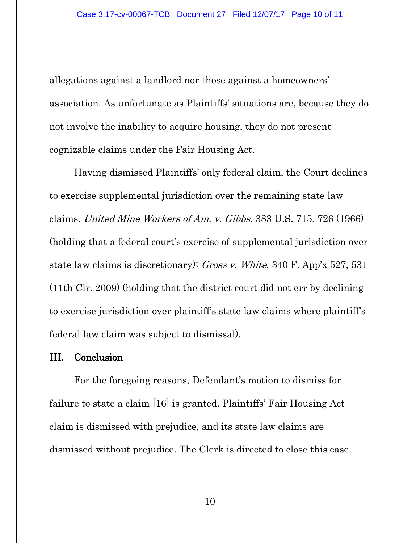allegations against a landlord nor those against a homeowners' association. As unfortunate as Plaintiffs' situations are, because they do not involve the inability to acquire housing, they do not present cognizable claims under the Fair Housing Act.

Having dismissed Plaintiffs' only federal claim, the Court declines to exercise supplemental jurisdiction over the remaining state law claims. United Mine Workers of Am. v. Gibbs, 383 U.S. 715, 726 (1966) (holding that a federal court's exercise of supplemental jurisdiction over state law claims is discretionary); Gross v. White, 340 F. App'x 527, 531 (11th Cir. 2009) (holding that the district court did not err by declining to exercise jurisdiction over plaintiff's state law claims where plaintiff's federal law claim was subject to dismissal).

#### III. Conclusion

For the foregoing reasons, Defendant's motion to dismiss for failure to state a claim [16] is granted. Plaintiffs' Fair Housing Act claim is dismissed with prejudice, and its state law claims are dismissed without prejudice. The Clerk is directed to close this case.